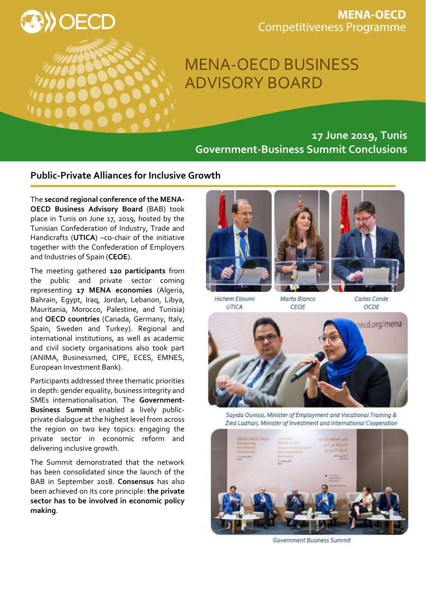

## **MENA-OECD Competitiveness Programme**

# MENA-OECD BUSINESS ADVISORY BOARD

# **17 June 2019, Tunis Government-Business Summit Conclusions**

### **Public-Private Alliances for Inclusive Growth**

The **second regional conference of the MENA-OECD Business Advisory Board** (BAB) took place in Tunis on June 17, 2019, hosted by the Tunisian Confederation of Industry, Trade and Handicrafts (**UTICA**) –co-chair of the initiative together with the Confederation of Employers and Industries of Spain (**CEOE**).

The meeting gathered **120 participants** from the public and private sector coming representing **17 MENA economies** (Algeria, Bahrain, Egypt, Iraq, Jordan, Lebanon, Libya, Mauritania, Morocco, Palestine, and Tunisia) and **OECD countries** (Canada, Germany, Italy, Spain, Sweden and Turkey). Regional and international institutions, as well as academic and civil society organisations also took part (ANIMA, Businessmed, CIPE, ECES, EMNES, European Investment Bank).

Participants addressed three thematic priorities in depth: gender equality, business integrity and SMEs internationalisation. The **Government-Business Summit** enabled a lively publicprivate dialogue at the highest level from across the region on two key topics: engaging the private sector in economic reform and delivering inclusive growth.

The Summit demonstrated that the network has been consolidated since the launch of the BAB in September 2018. **Consensus** has also been achieved on its core principle: **the private sector has to be involved in economic policy making**.







**Hichem Elloumi** UTICA

Marta Blanco **CEOE** 

Carlos Conde OCDE



Sayida Ounissi, Minister of Employment and Vocational Training & Zied Ladhari, Minister of Investment and International Cooperation



Government Business Summit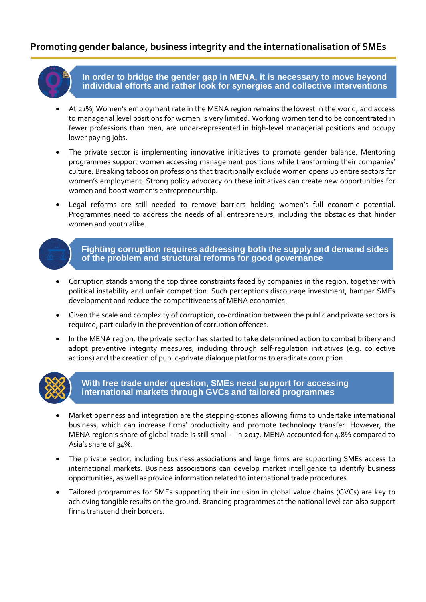## **Promoting gender balance, business integrity and the internationalisation of SMEs**

**In order to bridge the gender gap in MENA, it is necessary to move beyond individual efforts and rather look for synergies and collective interventions**

- At 21%, Women's employment rate in the MENA region remains the lowest in the world, and access to managerial level positions for women is very limited. Working women tend to be concentrated in fewer professions than men, are under-represented in high-level managerial positions and occupy lower paying jobs.
- The private sector is implementing innovative initiatives to promote gender balance. Mentoring programmes support women accessing management positions while transforming their companies' culture. Breaking taboos on professions that traditionally exclude women opens up entire sectors for women's employment. Strong policy advocacy on these initiatives can create new opportunities for women and boost women's entrepreneurship.
- Legal reforms are still needed to remove barriers holding women's full economic potential. Programmes need to address the needs of all entrepreneurs, including the obstacles that hinder women and youth alike.



- Corruption stands among the top three constraints faced by companies in the region, together with political instability and unfair competition. Such perceptions discourage investment, hamper SMEs development and reduce the competitiveness of MENA economies.
- Given the scale and complexity of corruption, co-ordination between the public and private sectors is required, particularly in the prevention of corruption offences.
- In the MENA region, the private sector has started to take determined action to combat bribery and adopt preventive integrity measures, including through self-regulation initiatives (e.g. collective actions) and the creation of public-private dialogue platforms to eradicate corruption.



#### **With free trade under question, SMEs need support for accessing international markets through GVCs and tailored programmes**

- Market openness and integration are the stepping-stones allowing firms to undertake international business, which can increase firms' productivity and promote technology transfer. However, the MENA region's share of global trade is still small – in 2017, MENA accounted for 4.8% compared to Asia's share of 34%.
- The private sector, including business associations and large firms are supporting SMEs access to international markets. Business associations can develop market intelligence to identify business opportunities, as well as provide information related to international trade procedures.
- Tailored programmes for SMEs supporting their inclusion in global value chains (GVCs) are key to achieving tangible results on the ground. Branding programmes at the national level can also support firms transcend their borders.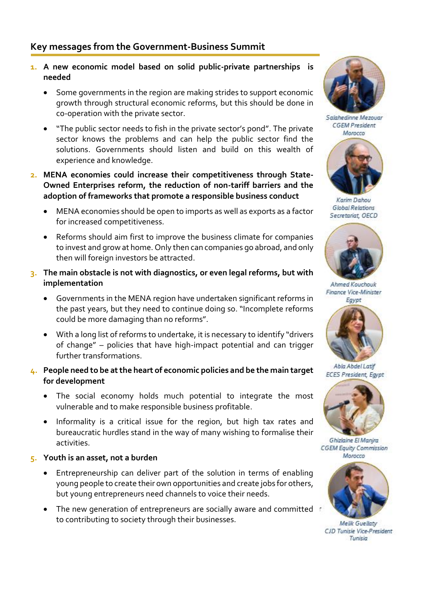- **1. A new economic model based on solid public-private partnerships is needed**
	- Some governments in the region are making strides to support economic growth through structural economic reforms, but this should be done in co-operation with the private sector.
	- "The public sector needs to fish in the private sector's pond". The private sector knows the problems and can help the public sector find the solutions. Governments should listen and build on this wealth of experience and knowledge.
- **2. MENA economies could increase their competitiveness through State-Owned Enterprises reform, the reduction of non-tariff barriers and the adoption of frameworks that promote a responsible business conduct**
	- MENA economies should be open to imports as well as exports as a factor for increased competitiveness.
	- Reforms should aim first to improve the business climate for companies to invest and grow at home. Only then can companies go abroad, and only then will foreign investors be attracted.
- **3. The main obstacle is not with diagnostics, or even legal reforms, but with implementation**
	- Governments in the MENA region have undertaken significant reforms in the past years, but they need to continue doing so. "Incomplete reforms could be more damaging than no reforms".
	- With a long list of reforms to undertake, it is necessary to identify "drivers of change" – policies that have high-impact potential and can trigger further transformations.
- **4. People need to be at the heart of economic policies and be the main target for development**
	- The social economy holds much potential to integrate the most vulnerable and to make responsible business profitable.
	- Informality is a critical issue for the region, but high tax rates and bureaucratic hurdles stand in the way of many wishing to formalise their activities.
- **5. Youth is an asset, not a burden**
	- Entrepreneurship can deliver part of the solution in terms of enabling young people to create their own opportunities and create jobs for others, but young entrepreneurs need channels to voice their needs.
	- The new generation of entrepreneurs are socially aware and committed to contributing to society through their businesses.



Salahedinne Mezouar **CGEM President** Momero



Karim Dahou **Global Relations** Secretariat, OECD



Ahmed Kouchouk Finance Vice-Minister Egypt



Abia Abdel Latif **ECES President, Egypt** 



Ghizlaine El Manjra **CGEM Equity Commission** Morocco



**Melik Guellatv** CJD Tunisie Vice-President Tunisia